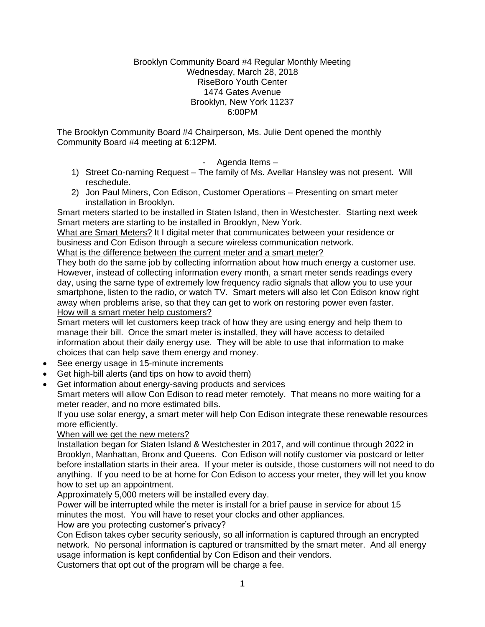#### Brooklyn Community Board #4 Regular Monthly Meeting Wednesday, March 28, 2018 RiseBoro Youth Center 1474 Gates Avenue Brooklyn, New York 11237 6:00PM

The Brooklyn Community Board #4 Chairperson, Ms. Julie Dent opened the monthly Community Board #4 meeting at 6:12PM.

- Agenda Items –

- 1) Street Co-naming Request The family of Ms. Avellar Hansley was not present. Will reschedule.
- 2) Jon Paul Miners, Con Edison, Customer Operations Presenting on smart meter installation in Brooklyn.

Smart meters started to be installed in Staten Island, then in Westchester. Starting next week Smart meters are starting to be installed in Brooklyn, New York.

What are Smart Meters? It I digital meter that communicates between your residence or business and Con Edison through a secure wireless communication network.

What is the difference between the current meter and a smart meter?

They both do the same job by collecting information about how much energy a customer use. However, instead of collecting information every month, a smart meter sends readings every day, using the same type of extremely low frequency radio signals that allow you to use your smartphone, listen to the radio, or watch TV. Smart meters will also let Con Edison know right away when problems arise, so that they can get to work on restoring power even faster. How will a smart meter help customers?

Smart meters will let customers keep track of how they are using energy and help them to manage their bill. Once the smart meter is installed, they will have access to detailed information about their daily energy use. They will be able to use that information to make choices that can help save them energy and money.

- See energy usage in 15-minute increments
- Get high-bill alerts (and tips on how to avoid them)
- Get information about energy-saving products and services

Smart meters will allow Con Edison to read meter remotely. That means no more waiting for a meter reader, and no more estimated bills.

If you use solar energy, a smart meter will help Con Edison integrate these renewable resources more efficiently.

When will we get the new meters?

Installation began for Staten Island & Westchester in 2017, and will continue through 2022 in Brooklyn, Manhattan, Bronx and Queens. Con Edison will notify customer via postcard or letter before installation starts in their area. If your meter is outside, those customers will not need to do anything. If you need to be at home for Con Edison to access your meter, they will let you know how to set up an appointment.

Approximately 5,000 meters will be installed every day.

Power will be interrupted while the meter is install for a brief pause in service for about 15 minutes the most. You will have to reset your clocks and other appliances.

How are you protecting customer's privacy?

Con Edison takes cyber security seriously, so all information is captured through an encrypted network. No personal information is captured or transmitted by the smart meter. And all energy usage information is kept confidential by Con Edison and their vendors.

Customers that opt out of the program will be charge a fee.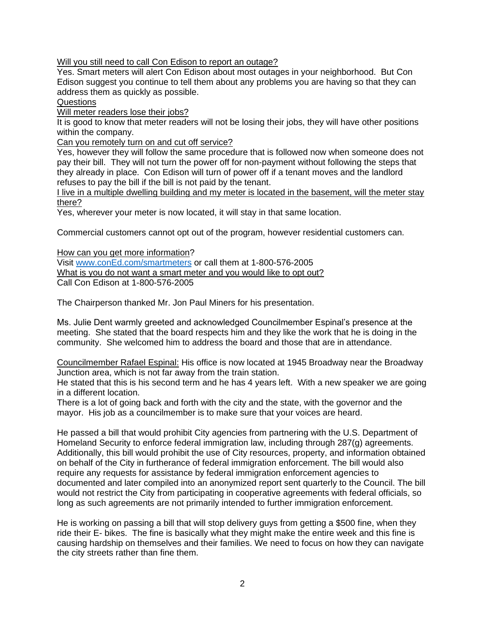Will you still need to call Con Edison to report an outage?

Yes. Smart meters will alert Con Edison about most outages in your neighborhood. But Con Edison suggest you continue to tell them about any problems you are having so that they can address them as quickly as possible.

Questions

Will meter readers lose their jobs?

It is good to know that meter readers will not be losing their jobs, they will have other positions within the company.

Can you remotely turn on and cut off service?

Yes, however they will follow the same procedure that is followed now when someone does not pay their bill. They will not turn the power off for non-payment without following the steps that they already in place. Con Edison will turn of power off if a tenant moves and the landlord refuses to pay the bill if the bill is not paid by the tenant.

I live in a multiple dwelling building and my meter is located in the basement, will the meter stay there?

Yes, wherever your meter is now located, it will stay in that same location.

Commercial customers cannot opt out of the program, however residential customers can.

How can you get more information?

Visit [www.conEd.com/smartmeters](http://www.coned.com/smartmeters) or call them at 1-800-576-2005 What is you do not want a smart meter and you would like to opt out? Call Con Edison at 1-800-576-2005

The Chairperson thanked Mr. Jon Paul Miners for his presentation.

Ms. Julie Dent warmly greeted and acknowledged Councilmember Espinal's presence at the meeting. She stated that the board respects him and they like the work that he is doing in the community. She welcomed him to address the board and those that are in attendance.

Councilmember Rafael Espinal: His office is now located at 1945 Broadway near the Broadway Junction area, which is not far away from the train station.

He stated that this is his second term and he has 4 years left. With a new speaker we are going in a different location.

There is a lot of going back and forth with the city and the state, with the governor and the mayor. His job as a councilmember is to make sure that your voices are heard.

He passed a bill that would prohibit City agencies from partnering with the U.S. Department of Homeland Security to enforce federal immigration law, including through 287(g) agreements. Additionally, this bill would prohibit the use of City resources, property, and information obtained on behalf of the City in furtherance of federal immigration enforcement. The bill would also require any requests for assistance by federal immigration enforcement agencies to documented and later compiled into an anonymized report sent quarterly to the Council. The bill would not restrict the City from participating in cooperative agreements with federal officials, so long as such agreements are not primarily intended to further immigration enforcement.

He is working on passing a bill that will stop delivery guys from getting a \$500 fine, when they ride their E- bikes. The fine is basically what they might make the entire week and this fine is causing hardship on themselves and their families. We need to focus on how they can navigate the city streets rather than fine them.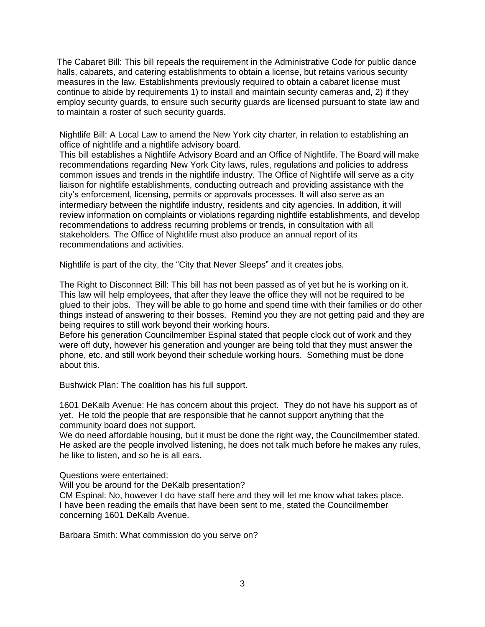The Cabaret Bill: This bill repeals the requirement in the Administrative Code for public dance halls, cabarets, and catering establishments to obtain a license, but retains various security measures in the law. Establishments previously required to obtain a cabaret license must continue to abide by requirements 1) to install and maintain security cameras and, 2) if they employ security guards, to ensure such security guards are licensed pursuant to state law and to maintain a roster of such security guards.

Nightlife Bill: A Local Law to amend the New York city charter, in relation to establishing an office of nightlife and a nightlife advisory board.

This bill establishes a Nightlife Advisory Board and an Office of Nightlife. The Board will make recommendations regarding New York City laws, rules, regulations and policies to address common issues and trends in the nightlife industry. The Office of Nightlife will serve as a city liaison for nightlife establishments, conducting outreach and providing assistance with the city's enforcement, licensing, permits or approvals processes. It will also serve as an intermediary between the nightlife industry, residents and city agencies. In addition, it will review information on complaints or violations regarding nightlife establishments, and develop recommendations to address recurring problems or trends, in consultation with all stakeholders. The Office of Nightlife must also produce an annual report of its recommendations and activities.

Nightlife is part of the city, the "City that Never Sleeps" and it creates jobs.

The Right to Disconnect Bill: This bill has not been passed as of yet but he is working on it. This law will help employees, that after they leave the office they will not be required to be glued to their jobs. They will be able to go home and spend time with their families or do other things instead of answering to their bosses. Remind you they are not getting paid and they are being requires to still work beyond their working hours.

Before his generation Councilmember Espinal stated that people clock out of work and they were off duty, however his generation and younger are being told that they must answer the phone, etc. and still work beyond their schedule working hours. Something must be done about this.

Bushwick Plan: The coalition has his full support.

1601 DeKalb Avenue: He has concern about this project. They do not have his support as of yet. He told the people that are responsible that he cannot support anything that the community board does not support.

We do need affordable housing, but it must be done the right way, the Councilmember stated. He asked are the people involved listening, he does not talk much before he makes any rules, he like to listen, and so he is all ears.

Questions were entertained:

Will you be around for the DeKalb presentation?

CM Espinal: No, however I do have staff here and they will let me know what takes place. I have been reading the emails that have been sent to me, stated the Councilmember concerning 1601 DeKalb Avenue.

Barbara Smith: What commission do you serve on?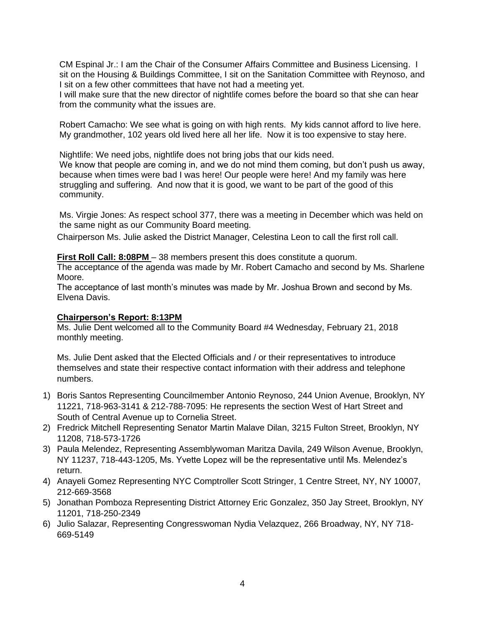CM Espinal Jr.: I am the Chair of the Consumer Affairs Committee and Business Licensing. I sit on the Housing & Buildings Committee, I sit on the Sanitation Committee with Reynoso, and I sit on a few other committees that have not had a meeting yet.

I will make sure that the new director of nightlife comes before the board so that she can hear from the community what the issues are.

Robert Camacho: We see what is going on with high rents. My kids cannot afford to live here. My grandmother, 102 years old lived here all her life. Now it is too expensive to stay here.

Nightlife: We need jobs, nightlife does not bring jobs that our kids need.

We know that people are coming in, and we do not mind them coming, but don't push us away, because when times were bad I was here! Our people were here! And my family was here struggling and suffering. And now that it is good, we want to be part of the good of this community.

Ms. Virgie Jones: As respect school 377, there was a meeting in December which was held on the same night as our Community Board meeting.

Chairperson Ms. Julie asked the District Manager, Celestina Leon to call the first roll call.

**First Roll Call: 8:08PM** – 38 members present this does constitute a quorum.

The acceptance of the agenda was made by Mr. Robert Camacho and second by Ms. Sharlene Moore.

The acceptance of last month's minutes was made by Mr. Joshua Brown and second by Ms. Elvena Davis.

#### **Chairperson's Report: 8:13PM**

Ms. Julie Dent welcomed all to the Community Board #4 Wednesday, February 21, 2018 monthly meeting.

Ms. Julie Dent asked that the Elected Officials and / or their representatives to introduce themselves and state their respective contact information with their address and telephone numbers.

- 1) Boris Santos Representing Councilmember Antonio Reynoso, 244 Union Avenue, Brooklyn, NY 11221, 718-963-3141 & 212-788-7095: He represents the section West of Hart Street and South of Central Avenue up to Cornelia Street.
- 2) Fredrick Mitchell Representing Senator Martin Malave Dilan, 3215 Fulton Street, Brooklyn, NY 11208, 718-573-1726
- 3) Paula Melendez, Representing Assemblywoman Maritza Davila, 249 Wilson Avenue, Brooklyn, NY 11237, 718-443-1205, Ms. Yvette Lopez will be the representative until Ms. Melendez's return.
- 4) Anayeli Gomez Representing NYC Comptroller Scott Stringer, 1 Centre Street, NY, NY 10007, 212-669-3568
- 5) Jonathan Pomboza Representing District Attorney Eric Gonzalez, 350 Jay Street, Brooklyn, NY 11201, 718-250-2349
- 6) Julio Salazar, Representing Congresswoman Nydia Velazquez, 266 Broadway, NY, NY 718- 669-5149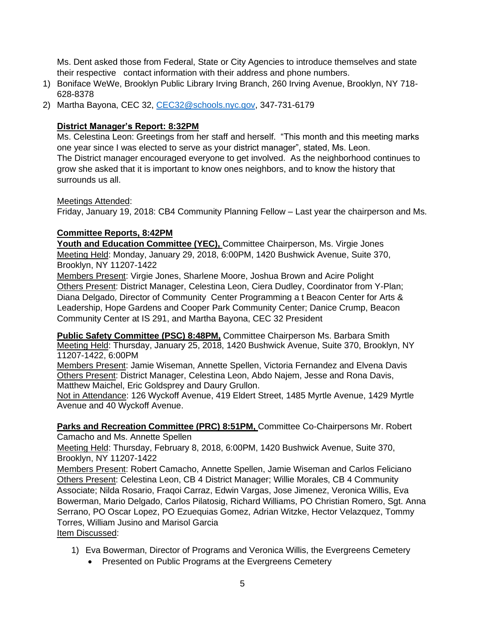Ms. Dent asked those from Federal, State or City Agencies to introduce themselves and state their respective contact information with their address and phone numbers.

- 1) Boniface WeWe, Brooklyn Public Library Irving Branch, 260 Irving Avenue, Brooklyn, NY 718- 628-8378
- 2) Martha Bayona, CEC 32, [CEC32@schools.nyc.gov,](mailto:CEC32@schools.nyc.gov) 347-731-6179

# **District Manager's Report: 8:32PM**

Ms. Celestina Leon: Greetings from her staff and herself. "This month and this meeting marks one year since I was elected to serve as your district manager", stated, Ms. Leon. The District manager encouraged everyone to get involved. As the neighborhood continues to grow she asked that it is important to know ones neighbors, and to know the history that surrounds us all.

#### Meetings Attended:

Friday, January 19, 2018: CB4 Community Planning Fellow – Last year the chairperson and Ms.

### **Committee Reports, 8:42PM**

**Youth and Education Committee (YEC),** Committee Chairperson, Ms. Virgie Jones Meeting Held: Monday, January 29, 2018, 6:00PM, 1420 Bushwick Avenue, Suite 370, Brooklyn, NY 11207-1422

Members Present: Virgie Jones, Sharlene Moore, Joshua Brown and Acire Polight Others Present: District Manager, Celestina Leon, Ciera Dudley, Coordinator from Y-Plan; Diana Delgado, Director of Community Center Programming a t Beacon Center for Arts & Leadership, Hope Gardens and Cooper Park Community Center; Danice Crump, Beacon Community Center at IS 291, and Martha Bayona, CEC 32 President

**Public Safety Committee (PSC) 8:48PM,** Committee Chairperson Ms. Barbara Smith Meeting Held: Thursday, January 25, 2018, 1420 Bushwick Avenue, Suite 370, Brooklyn, NY 11207-1422, 6:00PM

Members Present: Jamie Wiseman, Annette Spellen, Victoria Fernandez and Elvena Davis Others Present: District Manager, Celestina Leon, Abdo Najem, Jesse and Rona Davis, Matthew Maichel, Eric Goldsprey and Daury Grullon.

Not in Attendance: 126 Wyckoff Avenue, 419 Eldert Street, 1485 Myrtle Avenue, 1429 Myrtle Avenue and 40 Wyckoff Avenue.

# **Parks and Recreation Committee (PRC) 8:51PM,** Committee Co-Chairpersons Mr. Robert

Camacho and Ms. Annette Spellen

Meeting Held: Thursday, February 8, 2018, 6:00PM, 1420 Bushwick Avenue, Suite 370, Brooklyn, NY 11207-1422

Members Present: Robert Camacho, Annette Spellen, Jamie Wiseman and Carlos Feliciano Others Present: Celestina Leon, CB 4 District Manager; Willie Morales, CB 4 Community Associate; Nilda Rosario, Fraqoi Carraz, Edwin Vargas, Jose Jimenez, Veronica Willis, Eva Bowerman, Mario Delgado, Carlos Pilatosig, Richard Williams, PO Christian Romero, Sgt. Anna Serrano, PO Oscar Lopez, PO Ezuequias Gomez, Adrian Witzke, Hector Velazquez, Tommy Torres, William Jusino and Marisol Garcia Item Discussed:

- 1) Eva Bowerman, Director of Programs and Veronica Willis, the Evergreens Cemetery
	- Presented on Public Programs at the Evergreens Cemetery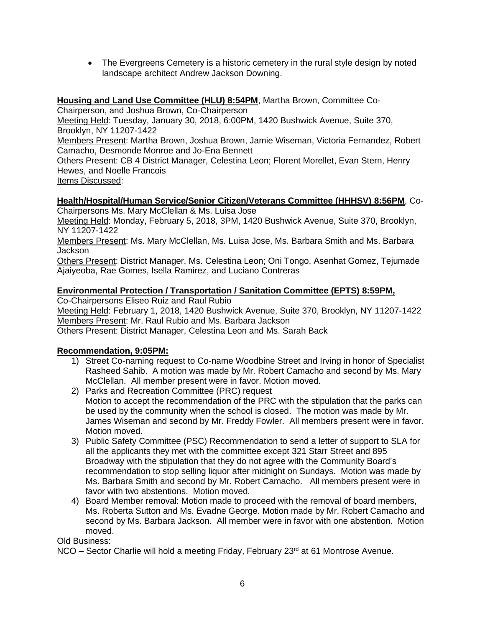• The Evergreens Cemetery is a historic cemetery in the rural style design by noted landscape architect Andrew Jackson Downing.

# **Housing and Land Use Committee (HLU) 8:54PM**, Martha Brown, Committee Co-

Chairperson, and Joshua Brown, Co-Chairperson

Meeting Held: Tuesday, January 30, 2018, 6:00PM, 1420 Bushwick Avenue, Suite 370, Brooklyn, NY 11207-1422

Members Present: Martha Brown, Joshua Brown, Jamie Wiseman, Victoria Fernandez, Robert Camacho, Desmonde Monroe and Jo-Ena Bennett

Others Present: CB 4 District Manager, Celestina Leon; Florent Morellet, Evan Stern, Henry Hewes, and Noelle Francois

Items Discussed:

#### **Health/Hospital/Human Service/Senior Citizen/Veterans Committee (HHHSV) 8:56PM**, Co-Chairpersons Ms. Mary McClellan & Ms. Luisa Jose

Meeting Held: Monday, February 5, 2018, 3PM, 1420 Bushwick Avenue, Suite 370, Brooklyn, NY 11207-1422

Members Present: Ms. Mary McClellan, Ms. Luisa Jose, Ms. Barbara Smith and Ms. Barbara Jackson

Others Present: District Manager, Ms. Celestina Leon; Oni Tongo, Asenhat Gomez, Tejumade Ajaiyeoba, Rae Gomes, Isella Ramirez, and Luciano Contreras

### **Environmental Protection / Transportation / Sanitation Committee (EPTS) 8:59PM,**

Co-Chairpersons Eliseo Ruiz and Raul Rubio

Meeting Held: February 1, 2018, 1420 Bushwick Avenue, Suite 370, Brooklyn, NY 11207-1422 Members Present: Mr. Raul Rubio and Ms. Barbara Jackson

Others Present: District Manager, Celestina Leon and Ms. Sarah Back

#### **Recommendation, 9:05PM:**

- 1) Street Co-naming request to Co-name Woodbine Street and Irving in honor of Specialist Rasheed Sahib. A motion was made by Mr. Robert Camacho and second by Ms. Mary McClellan. All member present were in favor. Motion moved.
- 2) Parks and Recreation Committee (PRC) request Motion to accept the recommendation of the PRC with the stipulation that the parks can be used by the community when the school is closed. The motion was made by Mr. James Wiseman and second by Mr. Freddy Fowler. All members present were in favor. Motion moved.
- 3) Public Safety Committee (PSC) Recommendation to send a letter of support to SLA for all the applicants they met with the committee except 321 Starr Street and 895 Broadway with the stipulation that they do not agree with the Community Board's recommendation to stop selling liquor after midnight on Sundays. Motion was made by Ms. Barbara Smith and second by Mr. Robert Camacho. All members present were in favor with two abstentions. Motion moved.
- 4) Board Member removal: Motion made to proceed with the removal of board members, Ms. Roberta Sutton and Ms. Evadne George. Motion made by Mr. Robert Camacho and second by Ms. Barbara Jackson. All member were in favor with one abstention. Motion moved.

Old Business:

NCO – Sector Charlie will hold a meeting Friday, February 23<sup>rd</sup> at 61 Montrose Avenue.